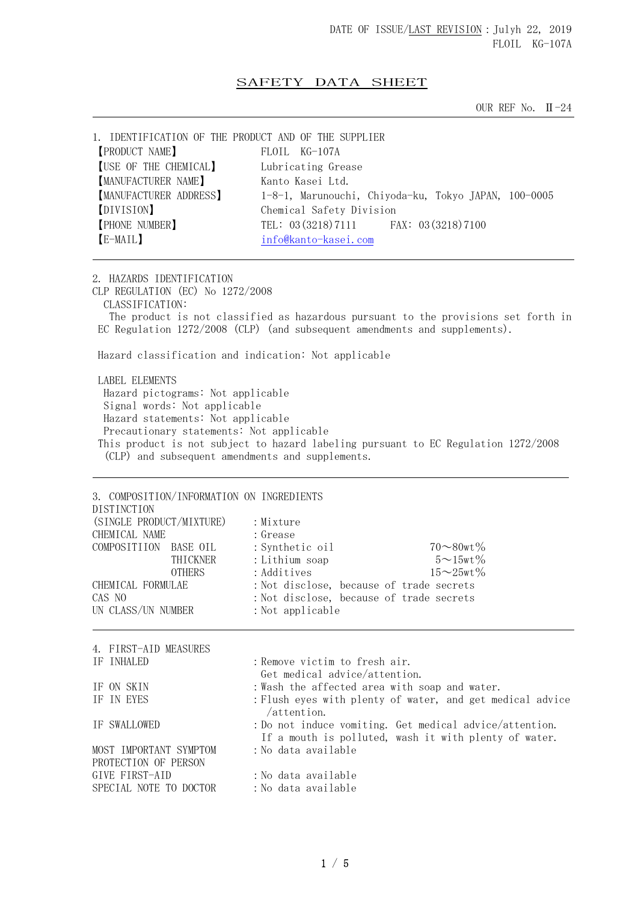## SAFETY DATA SHEET

OUR REF No. Ⅱ-24

| 1. IDENTIFICATION OF THE PRODUCT AND OF THE SUPPLIER |                                                      |
|------------------------------------------------------|------------------------------------------------------|
| <b>PRODUCT NAME</b>                                  | FLOTL KG-107A                                        |
| [USE OF THE CHEMICAL]                                | Lubricating Grease                                   |
| MANUFACTURER NAME]                                   | Kanto Kasei Ltd.                                     |
| MANUFACTURER ADDRESS]                                | 1-8-1, Marunouchi, Chiyoda-ku, Tokyo JAPAN, 100-0005 |
| [DIVISION]                                           | Chemical Safety Division                             |
| <b>[PHONE NUMBER]</b>                                | TEL: 03 (3218) 7111 FAX: 03 (3218) 7100              |
| [E-MAIL]                                             | info@kanto-kasei.com                                 |
|                                                      |                                                      |

2. HAZARDS IDENTIFICATION CLP REGULATION (EC) No 1272/2008 CLASSIFICATION: The product is not classified as hazardous pursuant to the provisions set forth in EC Regulation 1272/2008 (CLP) (and subsequent amendments and supplements). Hazard classification and indication: Not applicable

 LABEL ELEMENTS Hazard pictograms: Not applicable Signal words: Not applicable Hazard statements: Not applicable Precautionary statements: Not applicable This product is not subject to hazard labeling pursuant to EC Regulation 1272/2008 (CLP) and subsequent amendments and supplements.

| DISTINCTION<br>(SINGLE PRODUCT/MIXTURE)        |               | 3. COMPOSITION/INFORMATION ON INGREDIENTS<br>: Mixture |                                               |                                                                                                                  |  |
|------------------------------------------------|---------------|--------------------------------------------------------|-----------------------------------------------|------------------------------------------------------------------------------------------------------------------|--|
| CHEMICAL NAME                                  |               | : Grease                                               |                                               |                                                                                                                  |  |
| COMPOSITIION BASE OIL                          |               | : Synthetic oil                                        |                                               | $70 - 80$ wt $\%$                                                                                                |  |
|                                                | THICKNER      | : Lithium soap                                         |                                               | $5 \sim 15$ wt $\%$                                                                                              |  |
|                                                | <b>OTHERS</b> | : Additives                                            |                                               | $15\sim25$ wt $\%$                                                                                               |  |
| CHEMICAL FORMULAE                              |               |                                                        | : Not disclose, because of trade secrets      |                                                                                                                  |  |
| CAS NO                                         |               |                                                        | : Not disclose, because of trade secrets      |                                                                                                                  |  |
| UN CLASS/UN NUMBER                             |               | : Not applicable                                       |                                               |                                                                                                                  |  |
| 4. FIRST-AID MEASURES<br>IF INHALED            |               | : Remove victim to fresh air.                          | Get medical advice/attention.                 |                                                                                                                  |  |
| IF ON SKIN                                     |               |                                                        | : Wash the affected area with soap and water. |                                                                                                                  |  |
| IF IN EYES                                     |               | /attention.                                            |                                               | : Flush eyes with plenty of water, and get medical advice                                                        |  |
| IF SWALLOWED                                   |               |                                                        |                                               | : Do not induce vomiting. Get medical advice/attention.<br>If a mouth is polluted, wash it with plenty of water. |  |
| MOST IMPORTANT SYMPTOM<br>PROTECTION OF PERSON |               | : No data available                                    |                                               |                                                                                                                  |  |
| GIVE FIRST-AID                                 |               | : No data available                                    |                                               |                                                                                                                  |  |
| SPECIAL NOTE TO DOCTOR                         |               | :No data available                                     |                                               |                                                                                                                  |  |
|                                                |               |                                                        |                                               |                                                                                                                  |  |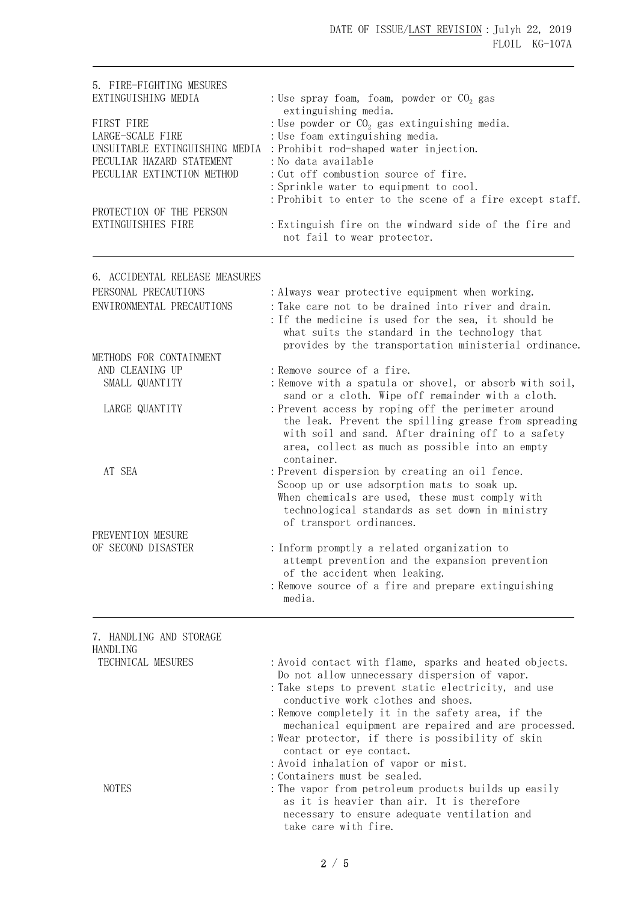| 5. FIRE-FIGHTING MESURES<br>EXTINGUISHING MEDIA<br>FIRST FIRE<br>LARGE-SCALE FIRE<br>UNSUITABLE EXTINGUISHING MEDIA<br>PECULIAR HAZARD STATEMENT<br>PECULIAR EXTINCTION METHOD<br>PROTECTION OF THE PERSON<br>EXTINGUISHIES FIRE | : Use spray foam, foam, powder or $CO2$ gas<br>extinguishing media.<br>: Use powder or $CO2$ gas extinguishing media.<br>: Use foam extinguishing media.<br>: Prohibit rod-shaped water injection.<br>: No data available<br>: Cut off combustion source of fire.<br>: Sprinkle water to equipment to cool.<br>: Prohibit to enter to the scene of a fire except staff.<br>: Extinguish fire on the windward side of the fire and<br>not fail to wear protector. |
|----------------------------------------------------------------------------------------------------------------------------------------------------------------------------------------------------------------------------------|------------------------------------------------------------------------------------------------------------------------------------------------------------------------------------------------------------------------------------------------------------------------------------------------------------------------------------------------------------------------------------------------------------------------------------------------------------------|
| 6. ACCIDENTAL RELEASE MEASURES                                                                                                                                                                                                   |                                                                                                                                                                                                                                                                                                                                                                                                                                                                  |
| PERSONAL PRECAUTIONS                                                                                                                                                                                                             | : Always wear protective equipment when working.                                                                                                                                                                                                                                                                                                                                                                                                                 |
| ENVIRONMENTAL PRECAUTIONS                                                                                                                                                                                                        | : Take care not to be drained into river and drain.<br>: If the medicine is used for the sea, it should be<br>what suits the standard in the technology that<br>provides by the transportation ministerial ordinance.                                                                                                                                                                                                                                            |
| METHODS FOR CONTAINMENT                                                                                                                                                                                                          |                                                                                                                                                                                                                                                                                                                                                                                                                                                                  |
| AND CLEANING UP                                                                                                                                                                                                                  | : Remove source of a fire.                                                                                                                                                                                                                                                                                                                                                                                                                                       |
| SMALL QUANTITY                                                                                                                                                                                                                   | : Remove with a spatula or shovel, or absorb with soil,<br>sand or a cloth. Wipe off remainder with a cloth.                                                                                                                                                                                                                                                                                                                                                     |
| LARGE QUANTITY                                                                                                                                                                                                                   | : Prevent access by roping off the perimeter around<br>the leak. Prevent the spilling grease from spreading<br>with soil and sand. After draining off to a safety<br>area, collect as much as possible into an empty<br>container.                                                                                                                                                                                                                               |
| AT SEA                                                                                                                                                                                                                           | : Prevent dispersion by creating an oil fence.<br>Scoop up or use adsorption mats to soak up.<br>When chemicals are used, these must comply with<br>technological standards as set down in ministry<br>of transport ordinances.                                                                                                                                                                                                                                  |
| PREVENTION MESURE                                                                                                                                                                                                                |                                                                                                                                                                                                                                                                                                                                                                                                                                                                  |
| OF SECOND DISASTER                                                                                                                                                                                                               | : Inform promptly a related organization to<br>attempt prevention and the expansion prevention<br>of the accident when leaking.<br>: Remove source of a fire and prepare extinguishing<br>media.                                                                                                                                                                                                                                                                 |
| 7. HANDLING AND STORAGE<br>HANDLING                                                                                                                                                                                              |                                                                                                                                                                                                                                                                                                                                                                                                                                                                  |
| TECHNICAL MESURES                                                                                                                                                                                                                | : Avoid contact with flame, sparks and heated objects.<br>Do not allow unnecessary dispersion of vapor.<br>: Take steps to prevent static electricity, and use<br>conductive work clothes and shoes.                                                                                                                                                                                                                                                             |

- :Remove completely it in the safety area, if the mechanical equipment are repaired and are processed.
- :Wear protector, if there is possibility of skin contact or eye contact.
- :Avoid inhalation of vapor or mist.
- :Containers must be sealed.
- NOTES : The vapor from petroleum products builds up easily as it is heavier than air. It is therefore necessary to ensure adequate ventilation and take care with fire.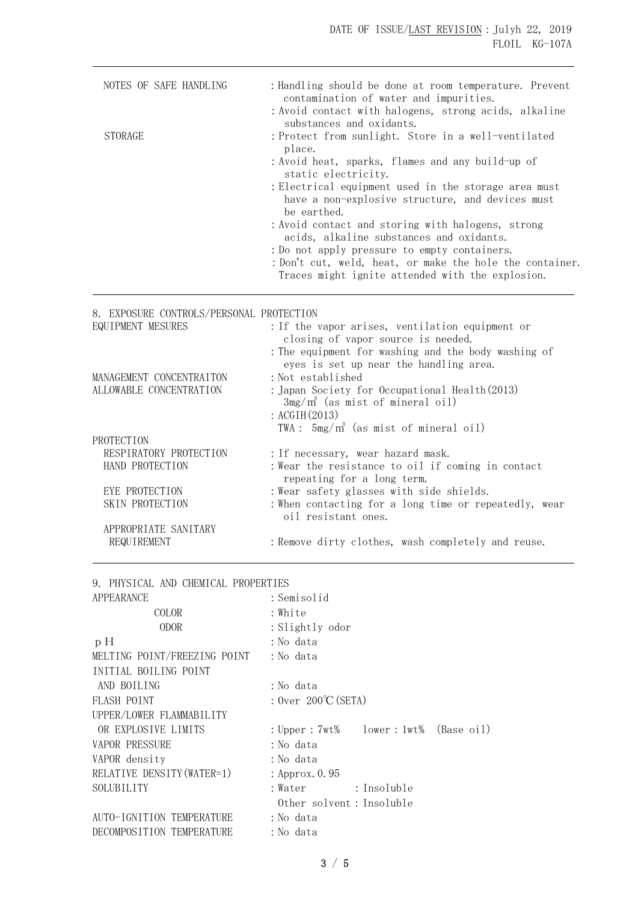| NOTES OF SAFE HANDLING                              | : Handling should be done at room temperature. Prevent<br>contamination of water and impurities.<br>: Avoid contact with halogens, strong acids, alkaline    |
|-----------------------------------------------------|--------------------------------------------------------------------------------------------------------------------------------------------------------------|
| <b>STORAGE</b>                                      | substances and oxidants.<br>: Protect from sunlight. Store in a well-ventilated<br>place.<br>: Avoid heat, sparks, flames and any build-up of                |
|                                                     | static electricity.<br>: Electrical equipment used in the storage area must<br>have a non-explosive structure, and devices must                              |
|                                                     | be earthed.<br>: Avoid contact and storing with halogens, strong<br>acids, alkaline substances and oxidants.                                                 |
|                                                     | : Do not apply pressure to empty containers.<br>: Don't cut, weld, heat, or make the hole the container.<br>Traces might ignite attended with the explosion. |
| 8. EXPOSURE CONTROLS/PERSONAL PROTECTION            |                                                                                                                                                              |
| EQUIPMENT MESURES                                   | : If the vapor arises, ventilation equipment or<br>closing of vapor source is needed.                                                                        |
|                                                     | : The equipment for washing and the body washing of<br>eyes is set up near the handling area.                                                                |
| MANAGEMENT CONCENTRAITON<br>ALLOWABLE CONCENTRATION | : Not established<br>: Japan Society for Occupational Health (2013)<br>$3mg/m^3$ (as mist of mineral oil)<br>: $ACGIH(2013)$                                 |
| PROTECTION                                          | TWA: $5mg/m^3$ (as mist of mineral oil)                                                                                                                      |
| RESPIRATORY PROTECTION<br>HAND PROTECTION           | : If necessary, wear hazard mask.<br>: Wear the resistance to oil if coming in contact<br>repeating for a long term.                                         |
| EYE PROTECTION<br>SKIN PROTECTION                   | : Wear safety glasses with side shields.<br>: When contacting for a long time or repeatedly, wear<br>oil resistant ones.                                     |
| APPROPRIATE SANITARY<br>REQUIREMENT                 | : Remove dirty clothes, wash completely and reuse.                                                                                                           |

9. PHYSICAL AND CHEMICAL PROPERTIES

| : Semisolid                                |  |  |  |
|--------------------------------------------|--|--|--|
| : White                                    |  |  |  |
| : Slightly odor                            |  |  |  |
| :No data                                   |  |  |  |
| : No data                                  |  |  |  |
|                                            |  |  |  |
| : No data                                  |  |  |  |
| : $0ver 200^{\circ}C(SETA)$                |  |  |  |
|                                            |  |  |  |
| : Upper : $7wt\$ lower : $1wt\$ (Base oil) |  |  |  |
| : No data                                  |  |  |  |
| : No data                                  |  |  |  |
| : Approx. 0.95                             |  |  |  |
| :Water :Insoluble                          |  |  |  |
| Other solvent: Insoluble                   |  |  |  |
| :No data                                   |  |  |  |
| : No data                                  |  |  |  |
|                                            |  |  |  |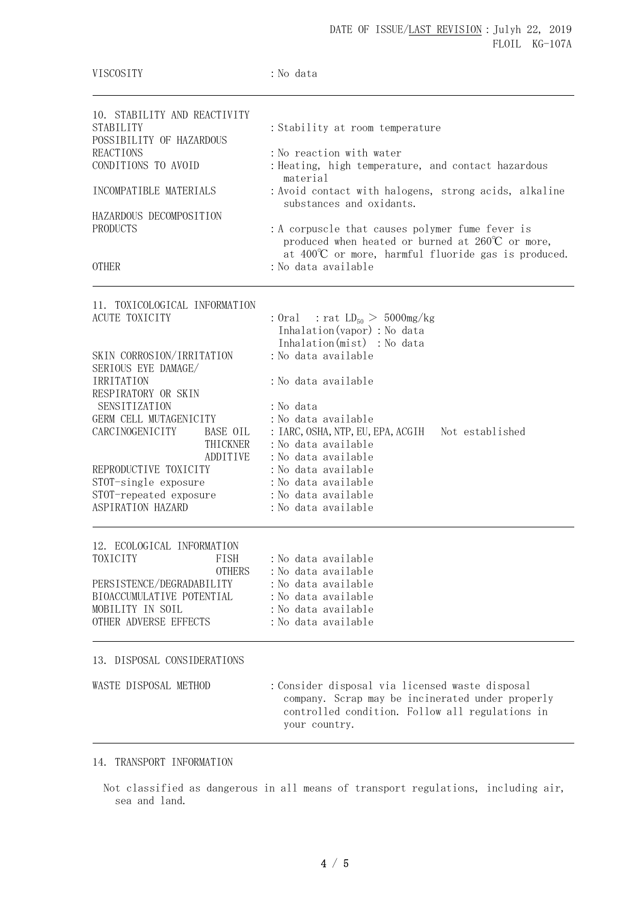| VISCOSITY                                              | : No data                                                                                                                                              |  |  |
|--------------------------------------------------------|--------------------------------------------------------------------------------------------------------------------------------------------------------|--|--|
| 10. STABILITY AND REACTIVITY<br><b>STABILITY</b>       | : Stability at room temperature                                                                                                                        |  |  |
| POSSIBILITY OF HAZARDOUS                               |                                                                                                                                                        |  |  |
| <b>REACTIONS</b><br>CONDITIONS TO AVOID                | : No reaction with water<br>: Heating, high temperature, and contact hazardous<br>material                                                             |  |  |
| INCOMPATIBLE MATERIALS                                 | : Avoid contact with halogens, strong acids, alkaline<br>substances and oxidants.                                                                      |  |  |
| HAZARDOUS DECOMPOSITION<br>PRODUCTS                    | : A corpuscle that causes polymer fume fever is<br>produced when heated or burned at $260^{\circ}$ or more,                                            |  |  |
| <b>OTHER</b>                                           | at $400^{\circ}$ C or more, harmful fluoride gas is produced.<br>: No data available                                                                   |  |  |
| 11. TOXICOLOGICAL INFORMATION                          |                                                                                                                                                        |  |  |
| <b>ACUTE TOXICITY</b>                                  | : Oral : rat $LD_{50} > 5000$ mg/kg<br>Inhalation(vapor) : No data<br>Inhalation(mist) : No data                                                       |  |  |
| SKIN CORROSION/IRRITATION<br>SERIOUS EYE DAMAGE/       | : No data available                                                                                                                                    |  |  |
| IRRITATION<br>RESPIRATORY OR SKIN                      | :No data available                                                                                                                                     |  |  |
| SENSITIZATION                                          | : No data                                                                                                                                              |  |  |
| GERM CELL MUTAGENICITY                                 | : No data available                                                                                                                                    |  |  |
| CARCINOGENICITY<br>BASE OIL<br>THICKNER                | : IARC, OSHA, NTP, EU, EPA, ACGIH<br>Not established<br>: No data available                                                                            |  |  |
| ADDITIVE                                               | : No data available                                                                                                                                    |  |  |
| REPRODUCTIVE TOXICITY                                  | : No data available                                                                                                                                    |  |  |
| STOT-single exposure                                   | : No data available                                                                                                                                    |  |  |
| STOT-repeated exposure                                 | : No data available                                                                                                                                    |  |  |
| ASPIRATION HAZARD                                      | :No data available                                                                                                                                     |  |  |
| 12. ECOLOGICAL INFORMATION                             |                                                                                                                                                        |  |  |
| TOXICITY<br>FISH                                       | :No data available                                                                                                                                     |  |  |
| <b>OTHERS</b>                                          | :No data available                                                                                                                                     |  |  |
| PERSISTENCE/DEGRADABILITY<br>BIOACCUMULATIVE POTENTIAL | :No data available<br>: No data available                                                                                                              |  |  |
| MOBILITY IN SOIL                                       | : No data available                                                                                                                                    |  |  |
| OTHER ADVERSE EFFECTS                                  | : No data available                                                                                                                                    |  |  |
| 13. DISPOSAL CONSIDERATIONS                            |                                                                                                                                                        |  |  |
| WASTE DISPOSAL METHOD                                  | : Consider disposal via licensed waste disposal<br>company. Scrap may be incinerated under properly<br>controlled condition. Follow all regulations in |  |  |

## 14. TRANSPORT INFORMATION

Not classified as dangerous in all means of transport regulations, including air, sea and land.

your country.